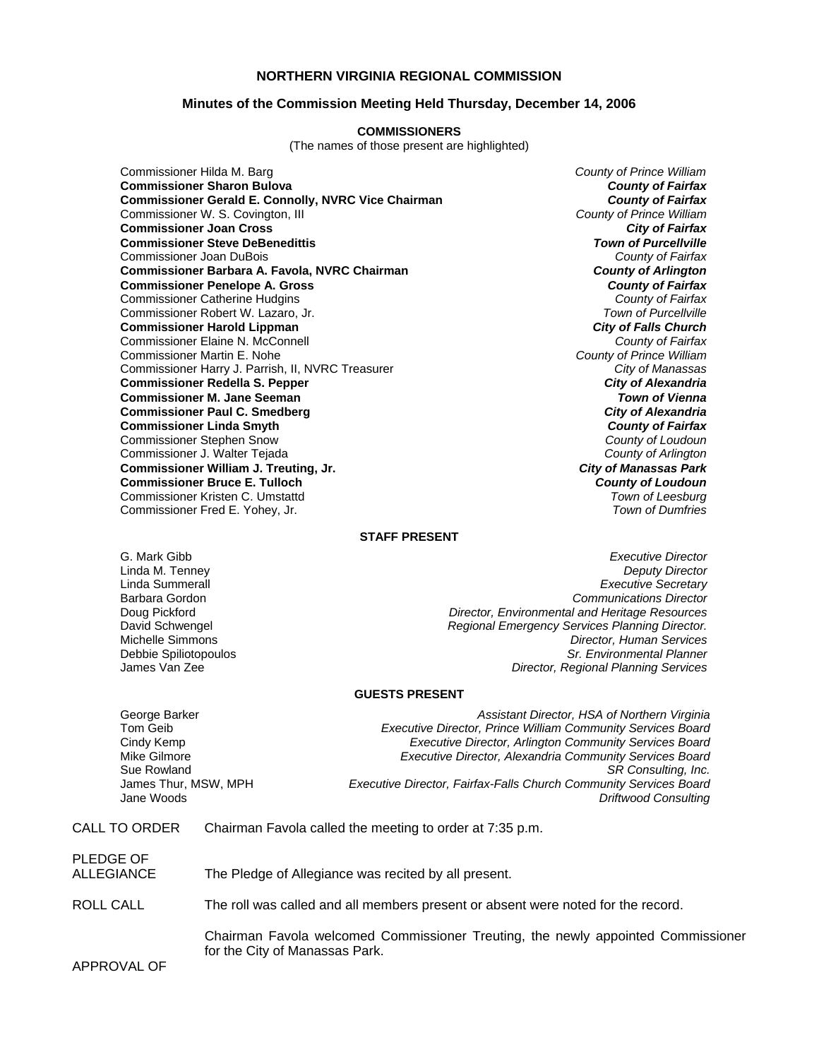# **NORTHERN VIRGINIA REGIONAL COMMISSION**

## **Minutes of the Commission Meeting Held Thursday, December 14, 2006**

#### **COMMISSIONERS**

(The names of those present are highlighted)

Commissioner Hilda M. Barg *County of Prince William* **Commissioner Sharon Bulova** *County of Fairfax* **Commissioner Gerald E. Connolly, NVRC Vice Chairman** *County of Fairfax**County of Fairfax***<br>Commissioner W. S. Covington, III <b>County of Prince William** Commissioner W. S. Covington, III *County of Prince William* **Commissioner Joan Cross** *City of Fairfax* **Commissioner Steve DeBenedittis** *Town of Purcellville* Commissioner Joan DuBois *County of Fairfax* **Commissioner Barbara A. Favola, NVRC Chairman** *County of Arlington* **Commissioner Penelope A. Gross** *County of Fairfax* Commissioner Catherine Hudgins *County of Fairfax* Commissioner Robert W. Lazaro, Jr. **Commissioner Harold Lippman** *City of Falls Church* Commissioner Elaine N. McConnell *County of Fairfax* Commissioner Martin E. Nohe *County of Prince William* Commissioner Harry J. Parrish, II, NVRC Treasurer *City of Manassas* **Commissioner Redella S. Pepper Commissioner M. Jane Seeman** *Town of Vienna* **Commissioner Paul C. Smedberg** *City of Alexandria* **Commissioner Linda Smyth** *County of Fairfax* Commissioner Stephen Snow *County of Loudoun* Commissioner J. Walter Tejada *County of Arlington* **Commissioner William J. Treuting, Jr.** *City of Manassas Park* **Commissioner Bruce E. Tulloch** *County of Loudoun* Commissioner Kristen C. Umstattd *Town of Leesburg* Commissioner Fred E. Yohey, Jr.

### **STAFF PRESENT**

G. Mark Gibb *Executive Director* Linda M. Tenney *Deputy Director* Linda Summerall *Executive Secretary* Barbara Gordon *Communications Director* Doug Pickford *Director, Environmental and Heritage Resources* David Schwengel *Regional Emergency Services Planning Director.* Michelle Simmons *Director, Human Services* Debbie Spiliotopoulos *Sr. Environmental Planner* **Director, Regional Planning Services** 

### **GUESTS PRESENT**

| George Barker        | Assistant Director, HSA of Northern Virginia                             |
|----------------------|--------------------------------------------------------------------------|
| Tom Geib             | Executive Director, Prince William Community Services Board              |
| Cindy Kemp           | <b>Executive Director, Arlington Community Services Board</b>            |
| Mike Gilmore         | Executive Director, Alexandria Community Services Board                  |
| Sue Rowland          | SR Consulting, Inc.                                                      |
| James Thur, MSW, MPH | <b>Executive Director, Fairfax-Falls Church Community Services Board</b> |
| Jane Woods           | <b>Driftwood Consulting</b>                                              |

CALL TO ORDER Chairman Favola called the meeting to order at 7:35 p.m.

| PLEDGE OF<br>ALLEGIANCE | The Pledge of Allegiance was recited by all present.                                                               |
|-------------------------|--------------------------------------------------------------------------------------------------------------------|
| ROLL CALL               | The roll was called and all members present or absent were noted for the record.                                   |
| APPROVAL OF             | Chairman Favola welcomed Commissioner Treuting, the newly appointed Commissioner<br>for the City of Manassas Park. |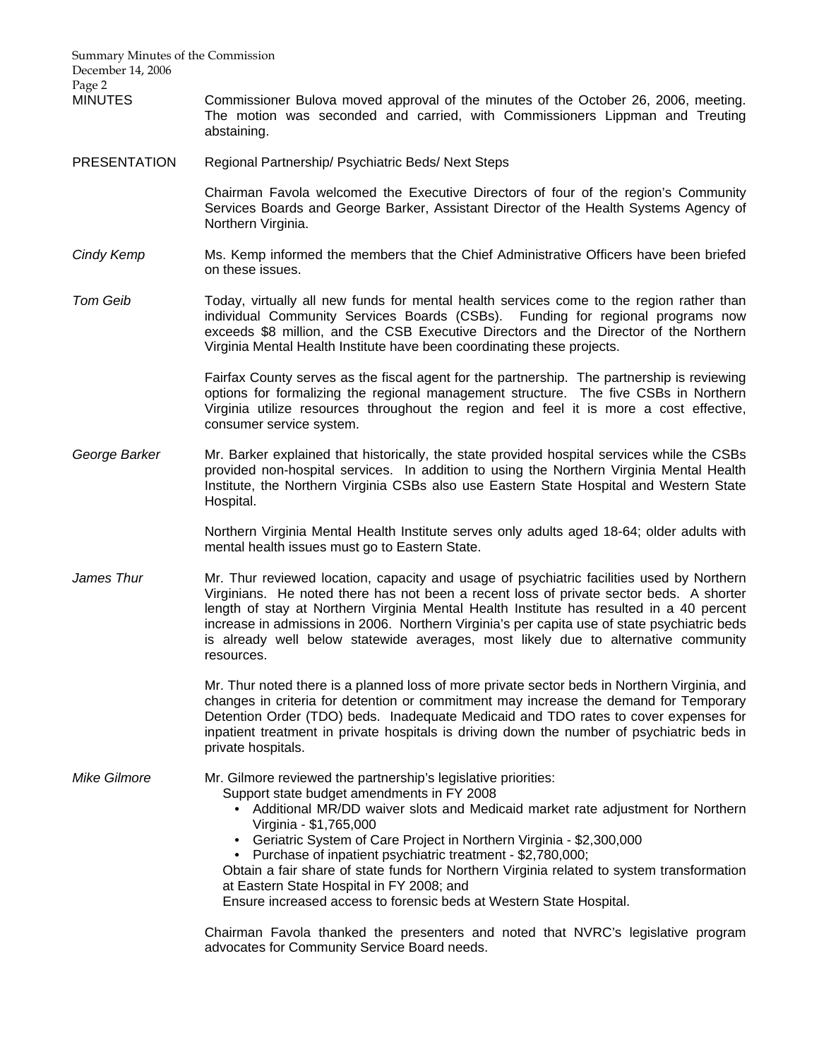Summary Minutes of the Commission December 14, 2006 Page 2 MINUTES Commissioner Bulova moved approval of the minutes of the October 26, 2006, meeting. The motion was seconded and carried, with Commissioners Lippman and Treuting abstaining. PRESENTATION Regional Partnership/ Psychiatric Beds/ Next Steps Chairman Favola welcomed the Executive Directors of four of the region's Community Services Boards and George Barker, Assistant Director of the Health Systems Agency of Northern Virginia. *Cindy Kemp* Ms. Kemp informed the members that the Chief Administrative Officers have been briefed on these issues. *Tom Geib* Today, virtually all new funds for mental health services come to the region rather than individual Community Services Boards (CSBs). Funding for regional programs now exceeds \$8 million, and the CSB Executive Directors and the Director of the Northern Virginia Mental Health Institute have been coordinating these projects. Fairfax County serves as the fiscal agent for the partnership. The partnership is reviewing options for formalizing the regional management structure. The five CSBs in Northern Virginia utilize resources throughout the region and feel it is more a cost effective, consumer service system. *George Barker* Mr. Barker explained that historically, the state provided hospital services while the CSBs provided non-hospital services. In addition to using the Northern Virginia Mental Health Institute, the Northern Virginia CSBs also use Eastern State Hospital and Western State Hospital. Northern Virginia Mental Health Institute serves only adults aged 18-64; older adults with mental health issues must go to Eastern State. *James Thur* Mr. Thur reviewed location, capacity and usage of psychiatric facilities used by Northern Virginians. He noted there has not been a recent loss of private sector beds. A shorter length of stay at Northern Virginia Mental Health Institute has resulted in a 40 percent increase in admissions in 2006. Northern Virginia's per capita use of state psychiatric beds is already well below statewide averages, most likely due to alternative community resources. Mr. Thur noted there is a planned loss of more private sector beds in Northern Virginia, and changes in criteria for detention or commitment may increase the demand for Temporary Detention Order (TDO) beds. Inadequate Medicaid and TDO rates to cover expenses for inpatient treatment in private hospitals is driving down the number of psychiatric beds in private hospitals. *Mike Gilmore* Mr. Gilmore reviewed the partnership's legislative priorities: Support state budget amendments in FY 2008 • Additional MR/DD waiver slots and Medicaid market rate adjustment for Northern Virginia - \$1,765,000 • Geriatric System of Care Project in Northern Virginia - \$2,300,000 • Purchase of inpatient psychiatric treatment - \$2,780,000; Obtain a fair share of state funds for Northern Virginia related to system transformation at Eastern State Hospital in FY 2008; and Ensure increased access to forensic beds at Western State Hospital. Chairman Favola thanked the presenters and noted that NVRC's legislative program

advocates for Community Service Board needs.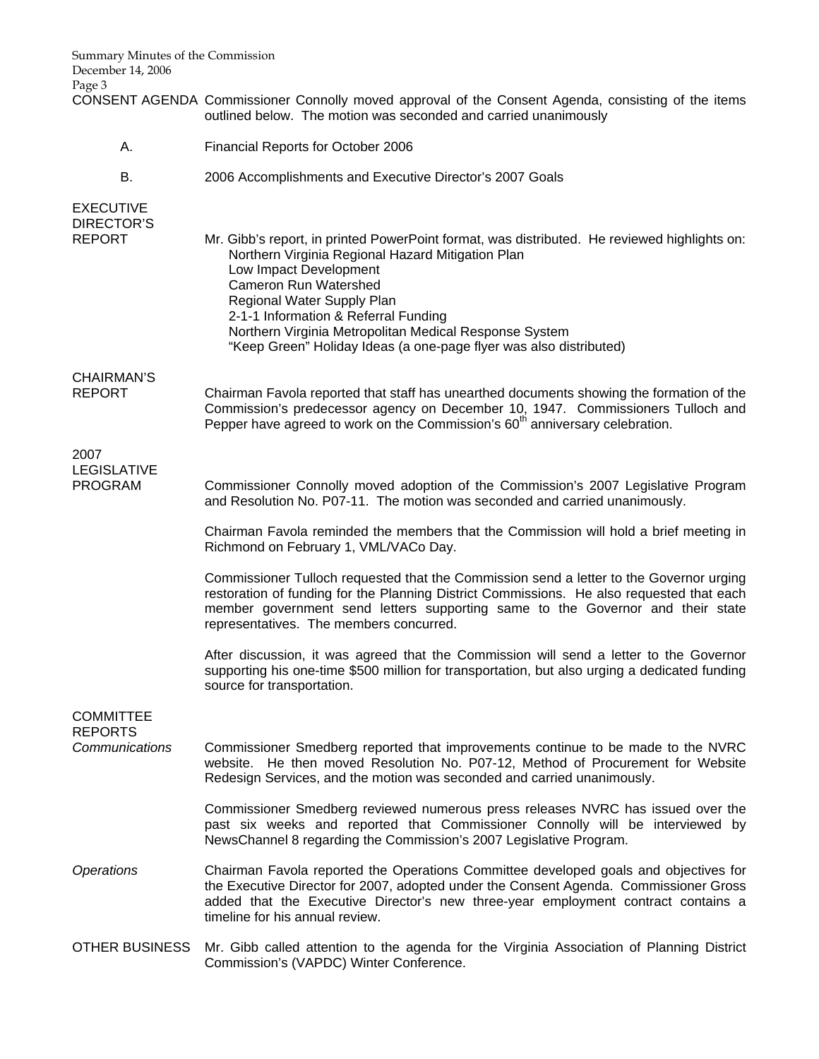| Summary Minutes of the Commission<br>December 14, 2006<br>Page 3 |                                                                                                                                                                                                                                                                                                                                                                                                                   |
|------------------------------------------------------------------|-------------------------------------------------------------------------------------------------------------------------------------------------------------------------------------------------------------------------------------------------------------------------------------------------------------------------------------------------------------------------------------------------------------------|
|                                                                  | CONSENT AGENDA Commissioner Connolly moved approval of the Consent Agenda, consisting of the items<br>outlined below. The motion was seconded and carried unanimously                                                                                                                                                                                                                                             |
| Α.                                                               | Financial Reports for October 2006                                                                                                                                                                                                                                                                                                                                                                                |
| В.                                                               | 2006 Accomplishments and Executive Director's 2007 Goals                                                                                                                                                                                                                                                                                                                                                          |
| <b>EXECUTIVE</b><br><b>DIRECTOR'S</b><br><b>REPORT</b>           | Mr. Gibb's report, in printed PowerPoint format, was distributed. He reviewed highlights on:<br>Northern Virginia Regional Hazard Mitigation Plan<br>Low Impact Development<br><b>Cameron Run Watershed</b><br>Regional Water Supply Plan<br>2-1-1 Information & Referral Funding<br>Northern Virginia Metropolitan Medical Response System<br>"Keep Green" Holiday Ideas (a one-page flyer was also distributed) |
| <b>CHAIRMAN'S</b><br><b>REPORT</b>                               | Chairman Favola reported that staff has unearthed documents showing the formation of the<br>Commission's predecessor agency on December 10, 1947. Commissioners Tulloch and<br>Pepper have agreed to work on the Commission's 60 <sup>th</sup> anniversary celebration.                                                                                                                                           |
| 2007                                                             |                                                                                                                                                                                                                                                                                                                                                                                                                   |
| <b>LEGISLATIVE</b><br><b>PROGRAM</b>                             | Commissioner Connolly moved adoption of the Commission's 2007 Legislative Program<br>and Resolution No. P07-11. The motion was seconded and carried unanimously.                                                                                                                                                                                                                                                  |
|                                                                  | Chairman Favola reminded the members that the Commission will hold a brief meeting in<br>Richmond on February 1, VML/VACo Day.                                                                                                                                                                                                                                                                                    |
|                                                                  | Commissioner Tulloch requested that the Commission send a letter to the Governor urging<br>restoration of funding for the Planning District Commissions. He also requested that each<br>member government send letters supporting same to the Governor and their state<br>representatives. The members concurred.                                                                                                 |
|                                                                  | After discussion, it was agreed that the Commission will send a letter to the Governor<br>supporting his one-time \$500 million for transportation, but also urging a dedicated funding<br>source for transportation.                                                                                                                                                                                             |
| <b>COMMITTEE</b>                                                 |                                                                                                                                                                                                                                                                                                                                                                                                                   |
| <b>REPORTS</b><br>Communications                                 | Commissioner Smedberg reported that improvements continue to be made to the NVRC<br>website. He then moved Resolution No. P07-12, Method of Procurement for Website<br>Redesign Services, and the motion was seconded and carried unanimously.                                                                                                                                                                    |
|                                                                  | Commissioner Smedberg reviewed numerous press releases NVRC has issued over the<br>past six weeks and reported that Commissioner Connolly will be interviewed by<br>NewsChannel 8 regarding the Commission's 2007 Legislative Program.                                                                                                                                                                            |
| <b>Operations</b>                                                | Chairman Favola reported the Operations Committee developed goals and objectives for<br>the Executive Director for 2007, adopted under the Consent Agenda. Commissioner Gross<br>added that the Executive Director's new three-year employment contract contains a<br>timeline for his annual review.                                                                                                             |
| <b>OTHER BUSINESS</b>                                            | Mr. Gibb called attention to the agenda for the Virginia Association of Planning District                                                                                                                                                                                                                                                                                                                         |

Commission's (VAPDC) Winter Conference.